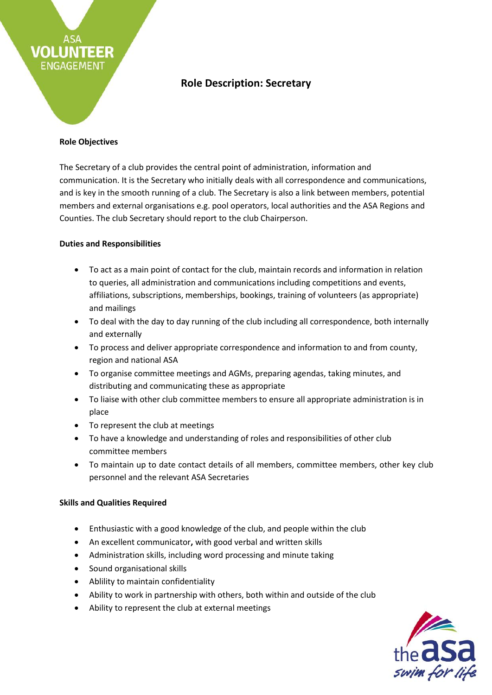# **Role Description: Secretary**

## **Role Objectives**

**EER** 

VOLLI

ENGAGEMENT

The Secretary of a club provides the central point of administration, information and communication. It is the Secretary who initially deals with all correspondence and communications, and is key in the smooth running of a club. The Secretary is also a link between members, potential members and external organisations e.g. pool operators, local authorities and the ASA Regions and Counties. The club Secretary should report to the club Chairperson.

## **Duties and Responsibilities**

- To act as a main point of contact for the club, maintain records and information in relation to queries, all administration and communications including competitions and events, affiliations, subscriptions, memberships, bookings, training of volunteers (as appropriate) and mailings
- To deal with the day to day running of the club including all correspondence, both internally and externally
- To process and deliver appropriate correspondence and information to and from county, region and national ASA
- To organise committee meetings and AGMs, preparing agendas, taking minutes, and distributing and communicating these as appropriate
- To liaise with other club committee members to ensure all appropriate administration is in place
- To represent the club at meetings
- To have a knowledge and understanding of roles and responsibilities of other club committee members
- To maintain up to date contact details of all members, committee members, other key club personnel and the relevant ASA Secretaries

## **Skills and Qualities Required**

- Enthusiastic with a good knowledge of the club, and people within the club
- An excellent communicator**,** with good verbal and written skills
- Administration skills, including word processing and minute taking
- Sound organisational skills
- Ablility to maintain confidentiality
- Ability to work in partnership with others, both within and outside of the club
- Ability to represent the club at external meetings